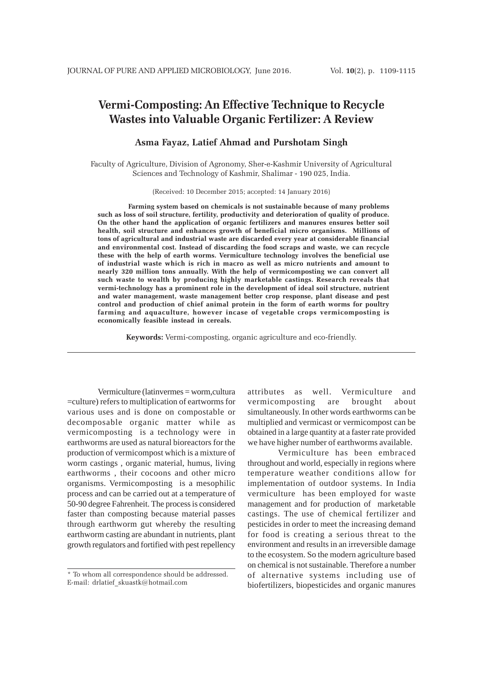# **Vermi-Composting: An Effective Technique to Recycle Wastes into Valuable Organic Fertilizer: A Review**

# **Asma Fayaz, Latief Ahmad and Purshotam Singh**

Faculty of Agriculture, Division of Agronomy, Sher-e-Kashmir University of Agricultural Sciences and Technology of Kashmir, Shalimar - 190 025, India.

(Received: 10 December 2015; accepted: 14 January 2016)

**Farming system based on chemicals is not sustainable because of many problems such as loss of soil structure, fertility, productivity and deterioration of quality of produce. On the other hand the application of organic fertilizers and manures ensures better soil health, soil structure and enhances growth of beneficial micro organisms. Millions of tons of agricultural and industrial waste are discarded every year at considerable financial and environmental cost. Instead of discarding the food scraps and waste, we can recycle these with the help of earth worms. Vermiculture technology involves the beneficial use of industrial waste which is rich in macro as well as micro nutrients and amount to nearly 320 million tons annually. With the help of vermicomposting we can convert all such waste to wealth by producing highly marketable castings. Research reveals that vermi-technology has a prominent role in the development of ideal soil structure, nutrient and water management, waste management better crop response, plant disease and pest control and production of chief animal protein in the form of earth worms for poultry farming and aquaculture, however incase of vegetable crops vermicomposting is economically feasible instead in cereals.**

**Keywords:** Vermi-composting, organic agriculture and eco-friendly.

Vermiculture (latinvermes = worm,cultura =culture) refers to multiplication of eartworms for various uses and is done on compostable or decomposable organic matter while as vermicomposting is a technology were in earthworms are used as natural bioreactors for the production of vermicompost which is a mixture of worm castings , organic material, humus, living earthworms , their cocoons and other micro organisms. Vermicomposting is a mesophilic process and can be carried out at a temperature of 50-90 degree Fahrenheit. The process is considered faster than composting because material passes through earthworm gut whereby the resulting earthworm casting are abundant in nutrients, plant growth regulators and fortified with pest repellency

attributes as well. Vermiculture and vermicomposting are brought about simultaneously. In other words earthworms can be multiplied and vermicast or vermicompost can be obtained in a large quantity at a faster rate provided we have higher number of earthworms available.

Vermiculture has been embraced throughout and world, especially in regions where temperature weather conditions allow for implementation of outdoor systems. In India vermiculture has been employed for waste management and for production of marketable castings. The use of chemical fertilizer and pesticides in order to meet the increasing demand for food is creating a serious threat to the environment and results in an irreversible damage to the ecosystem. So the modern agriculture based on chemical is not sustainable. Therefore a number of alternative systems including use of biofertilizers, biopesticides and organic manures

<sup>\*</sup> To whom all correspondence should be addressed. E-mail: drlatief\_skuastk@hotmail.com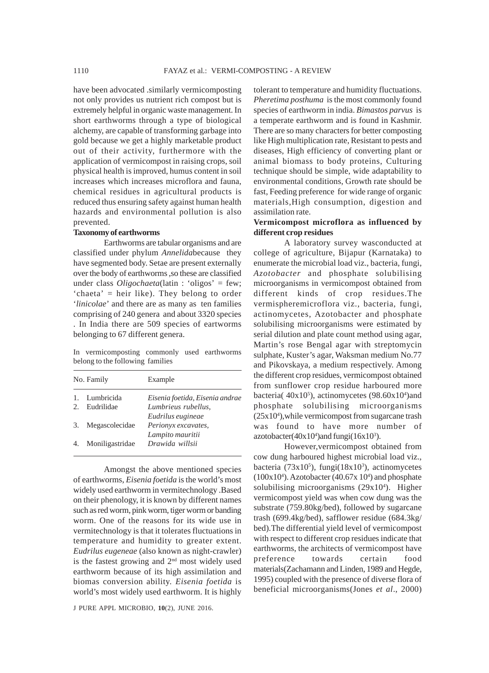have been advocated .similarly vermicomposting not only provides us nutrient rich compost but is extremely helpful in organic waste management. In short earthworms through a type of biological alchemy, are capable of transforming garbage into gold because we get a highly marketable product out of their activity, furthermore with the application of vermicompost in raising crops, soil physical health is improved, humus content in soil increases which increases microflora and fauna, chemical residues in agricultural products is reduced thus ensuring safety against human health hazards and environmental pollution is also prevented.

#### **Taxonomy of earthworms**

Earthworms are tabular organisms and are classified under phylum *Annelida*because they have segmented body. Setae are present externally over the body of earthworms ,so these are classified under class *Oligochaeta*(latin : 'oligos' = few; 'chaeta' = heir like). They belong to order '*linicolae*' and there are as many as ten families comprising of 240 genera and about 3320 species . In India there are 509 species of eartworms belonging to 67 different genera.

In vermicomposting commonly used earthworms belong to the following families

| No. Family |                    | Example                         |  |  |
|------------|--------------------|---------------------------------|--|--|
|            | 1. Lumbricida      | Eisenia foetida, Eisenia andrae |  |  |
|            | 2. Eudrilidae      | Lumbrieus rubellus.             |  |  |
|            |                    | Eudrilus eugineae               |  |  |
|            | 3. Megascolecidae  | Perionyx excavates,             |  |  |
|            |                    | Lampito mauritii                |  |  |
|            | 4. Moniligastridae | Drawida willsii                 |  |  |
|            |                    |                                 |  |  |

Amongst the above mentioned species of earthworms, *Eisenia foetida* is the world's most widely used earthworm in vermitechnology .Based on their phenology, it is known by different names such as red worm, pink worm, tiger worm or banding worm. One of the reasons for its wide use in vermitechnology is that it tolerates fluctuations in temperature and humidity to greater extent. *Eudrilus eugeneae* (also known as night-crawler) is the fastest growing and  $2<sup>nd</sup>$  most widely used earthworm because of its high assimilation and biomas conversion ability. *Eisenia foetida* is world's most widely used earthworm. It is highly

tolerant to temperature and humidity fluctuations. *Pheretima posthuma* is the most commonly found species of earthworm in india. *Bimastos parvus* is a temperate earthworm and is found in Kashmir. There are so many characters for better composting like High multiplication rate, Resistant to pests and diseases, High efficiency of converting plant or animal biomass to body proteins, Culturing technique should be simple, wide adaptability to environmental conditions, Growth rate should be fast, Feeding preference for wide range of organic materials,High consumption, digestion and assimilation rate.

# **Vermicompost microflora as influenced by different crop residues**

A laboratory survey wasconducted at college of agriculture, Bijapur (Karnataka) to enumerate the microbial load viz., bacteria, fungi, *Azotobacter* and phosphate solubilising microorganisms in vermicompost obtained from different kinds of crop residues.The vermispheremicroflora viz., bacteria, fungi, actinomycetes, Azotobacter and phosphate solubilising microorganisms were estimated by serial dilution and plate count method using agar, Martin's rose Bengal agar with streptomycin sulphate, Kuster's agar, Waksman medium No.77 and Pikovskaya, a medium respectively. Among the different crop residues, vermicompost obtained from sunflower crop residue harboured more bacteria( $40x10<sup>5</sup>$ ), actinomycetes (98.60x10<sup>4</sup>)and phosphate solubilising microorganisms (25x104 ),while vermicompost from sugarcane trash was found to have more number of azotobacter( $40x10^4$ ) and fungi( $16x10^3$ ).

However,vermicompost obtained from cow dung harboured highest microbial load viz., bacteria (73x10<sup>5</sup>), fungi(18x10<sup>3</sup>), actinomycetes  $(100x10<sup>4</sup>)$ . Azotobacter  $(40.67x10<sup>4</sup>)$  and phosphate solubilising microorganisms (29x10<sup>4</sup>). Higher vermicompost yield was when cow dung was the substrate (759.80kg/bed), followed by sugarcane trash (699.4kg/bed), safflower residue (684.3kg/ bed).The differential yield level of vermicompost with respect to different crop residues indicate that earthworms, the architects of vermicompost have preference towards certain food materials(Zachamann and Linden, 1989 and Hegde, 1995) coupled with the presence of diverse flora of beneficial microorganisms(Jones *et al*., 2000)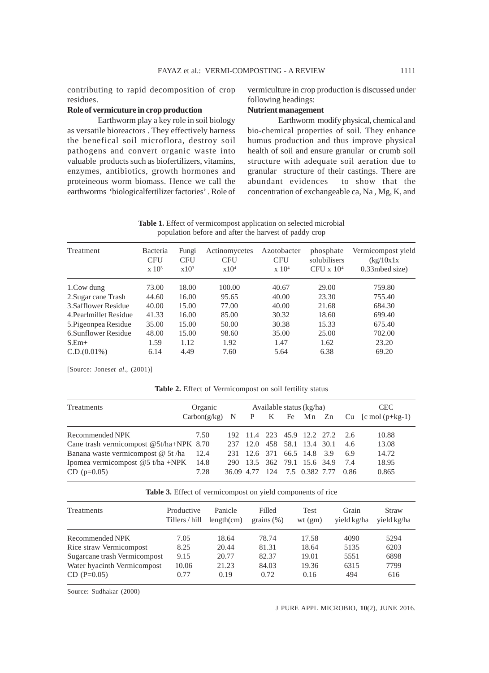contributing to rapid decomposition of crop residues.

#### **Role of vermicuture in crop production**

Earthworm play a key role in soil biology as versatile bioreactors . They effectively harness the benefical soil microflora, destroy soil pathogens and convert organic waste into valuable products such as biofertilizers, vitamins, enzymes, antibiotics, growth hormones and proteineous worm biomass. Hence we call the earthworms 'biologicalfertilizer factories' . Role of

# vermiculture in crop production is discussed under following headings:

## **Nutrient management**

Earthworm modify physical, chemical and bio-chemical properties of soil. They enhance humus production and thus improve physical health of soil and ensure granular or crumb soil structure with adequate soil aeration due to granular structure of their castings. There are abundant evidences to show that the concentration of exchangeable ca, Na , Mg, K, and

Table 1. Effect of vermicompost application on selected microbial population before and after the harvest of paddy crop

| Treatment              | Bacteria<br><b>CFU</b><br>$\rm x 10^5$ | Fungi<br><b>CFU</b><br>$x10^3$ | Actinomycetes<br><b>CFU</b><br>x10 <sup>4</sup> | Azotobacter<br><b>CFU</b><br>$\rm x 10^4$ | phosphate<br>solubilisers<br>CFU $\times 10^4$ | Vermicompost yield<br>(kg/10x1x<br>$0.33$ mbed size) |
|------------------------|----------------------------------------|--------------------------------|-------------------------------------------------|-------------------------------------------|------------------------------------------------|------------------------------------------------------|
| 1.Cow dung             | 73.00                                  | 18.00                          | 100.00                                          | 40.67                                     | 29.00                                          | 759.80                                               |
| 2. Sugar cane Trash    | 44.60                                  | 16.00                          | 95.65                                           | 40.00                                     | 23.30                                          | 755.40                                               |
| 3. Safflower Residue   | 40.00                                  | 15.00                          | 77.00                                           | 40.00                                     | 21.68                                          | 684.30                                               |
| 4. Pearlmillet Residue | 41.33                                  | 16.00                          | 85.00                                           | 30.32                                     | 18.60                                          | 699.40                                               |
| 5. Pigeonpea Residue   | 35.00                                  | 15.00                          | 50.00                                           | 30.38                                     | 15.33                                          | 675.40                                               |
| 6. Sunflower Residue   | 48.00                                  | 15.00                          | 98.60                                           | 35.00                                     | 25.00                                          | 702.00                                               |
| $S.Em+$                | 1.59                                   | 1.12                           | 1.92                                            | 1.47                                      | 1.62                                           | 23.20                                                |
| C.D.(0.01%)            | 6.14                                   | 4.49                           | 7.60                                            | 5.64                                      | 6.38                                           | 69.20                                                |

[Source: Jones*et al*., (2001)]

**Table 2.** Effect of Vermicompost on soil fertility status

| Treatments                                | Organic | Available status (kg/ha) |  |  |                                 |  |      | <b>CEC</b>                                       |  |  |
|-------------------------------------------|---------|--------------------------|--|--|---------------------------------|--|------|--------------------------------------------------|--|--|
|                                           |         |                          |  |  |                                 |  |      | $Carbon(g/kg)$ N P K Fe Mn Zn Cu $[cmo](p+kg-1)$ |  |  |
| Recommended NPK                           | 7.50    |                          |  |  | 192 11.4 223 45.9 12.2 27.2 2.6 |  |      | 10.88                                            |  |  |
| Cane trash vermicompost $@5t/ha+NPK$ 8.70 |         |                          |  |  | 237 12.0 458 58.1 13.4 30.1     |  | 4.6  | 13.08                                            |  |  |
| Banana waste vermicompost @ 5t/ha 12.4    |         |                          |  |  | 231 12.6 371 66.5 14.8 3.9      |  | 6.9  | 14.72                                            |  |  |
| Ipomea vermicompost @5 t/ha +NPK 14.8     |         |                          |  |  | 290 13.5 362 79.1 15.6 34.9     |  | 7.4  | 18.95                                            |  |  |
| $CD$ (p=0.05)                             | 7.28    |                          |  |  | 36.09 4.77 124 7.5 0.382 7.77   |  | 0.86 | 0.865                                            |  |  |

**Table 3.** Effect of vermicompost on yield components of rice

| Treatments                   | Productive<br>Tillers / hill | Panicle<br>length(cm) | Filled<br>grains $(\%)$ | <b>Test</b><br>wt(gm) | Grain<br>yield kg/ha | Straw<br>yield kg/ha |
|------------------------------|------------------------------|-----------------------|-------------------------|-----------------------|----------------------|----------------------|
| Recommended NPK              | 7.05                         | 18.64                 | 78.74                   | 17.58                 | 4090                 | 5294                 |
| Rice straw Vermicompost      | 8.25                         | 20.44                 | 81.31                   | 18.64                 | 5135                 | 6203                 |
| Sugarcane trash Vermicompost | 9.15                         | 20.77                 | 82.37                   | 19.01                 | 5551                 | 6898                 |
| Water hyacinth Vermicompost  | 10.06                        | 21.23                 | 84.03                   | 19.36                 | 6315                 | 7799                 |
| $CD (P=0.05)$                | 0.77                         | 0.19                  | 0.72                    | 0.16                  | 494                  | 616                  |

Source: Sudhakar (2000)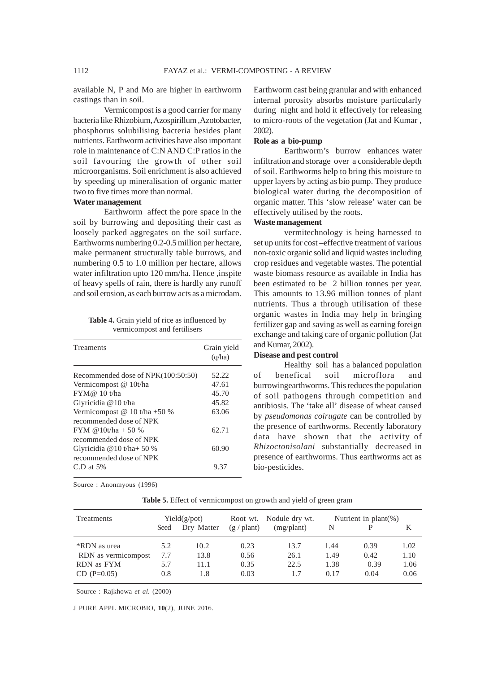available N, P and Mo are higher in earthworm castings than in soil.

Vermicompost is a good carrier for many bacteria like Rhizobium, Azospirillum ,Azotobacter, phosphorus solubilising bacteria besides plant nutrients. Earthworm activities have also important role in maintenance of C:N AND C:P ratios in the soil favouring the growth of other soil microorganisms. Soil enrichment is also achieved by speeding up mineralisation of organic matter two to five times more than normal.

#### **Water management**

Earthworm affect the pore space in the soil by burrowing and depositing their cast as loosely packed aggregates on the soil surface. Earthworms numbering 0.2-0.5 million per hectare, make permanent structurally table burrows, and numbering 0.5 to 1.0 million per hectare, allows water infiltration upto 120 mm/ha. Hence , inspite of heavy spells of rain, there is hardly any runoff and soil erosion, as each burrow acts as a microdam.

**Table 4.** Grain yield of rice as influenced by vermicompost and fertilisers

| Treaments                                              | Grain yield<br>(q/ha) |
|--------------------------------------------------------|-----------------------|
| Recommended dose of NPK(100:50:50)                     | 52.22                 |
| Vermicompost @ 10t/ha                                  | 47.61                 |
| FYM@10 t/ha                                            | 45.70                 |
| Glyricidia @10 t/ha                                    | 45.82                 |
| Vermicompost @ 10 t/ha +50 %                           | 63.06                 |
| recommended dose of NPK<br>FYM @ $0t/ha + 50\%$        | 62.71                 |
| recommended dose of NPK<br>Glyricidia $@10$ t/ha+ 50 % | 60.90                 |
| recommended dose of NPK<br>$C.D$ at 5%                 | 9.37                  |

Source : Anonmyous (1996)

Earthworm cast being granular and with enhanced internal porosity absorbs moisture particularly during night and hold it effectively for releasing to micro-roots of the vegetation (Jat and Kumar , 2002).

# **Role as a bio-pump**

Earthworm's burrow enhances water infiltration and storage over a considerable depth of soil. Earthworms help to bring this moisture to upper layers by acting as bio pump. They produce biological water during the decomposition of organic matter. This 'slow release' water can be effectively utilised by the roots.

#### **Waste management**

vermitechnology is being harnessed to set up units for cost –effective treatment of various non-toxic organic solid and liquid wastes including crop residues and vegetable wastes. The potential waste biomass resource as available in India has been estimated to be 2 billion tonnes per year. This amounts to 13.96 million tonnes of plant nutrients. Thus a through utilisation of these organic wastes in India may help in bringing fertilizer gap and saving as well as earning foreign exchange and taking care of organic pollution (Jat and Kumar, 2002).

# **Disease and pest control**

Healthy soil has a balanced population of benefical soil microflora and burrowingearthworms. This reduces the population of soil pathogens through competition and antibiosis. The 'take all' disease of wheat caused by *pseudomonas coirugate* can be controlled by the presence of earthworms. Recently laboratory data have shown that the activity of *Rhizoctonisolani* substantially decreased in presence of earthworms. Thus earthworms act as bio-pesticides.

| Treatments          | Yield(g/pot) |            | Root wt.             | Nodule dry wt. | Nutrient in $plant(\%)$ |      |      |
|---------------------|--------------|------------|----------------------|----------------|-------------------------|------|------|
|                     | Seed         | Dry Matter | $(g / \text{plant})$ | (mg/plant)     |                         | P    | K    |
| *RDN as urea        | 5.2          | 10.2       | 0.23                 | 13.7           | 1.44                    | 0.39 | 1.02 |
| RDN as vermicompost | 7.7          | 13.8       | 0.56                 | 26.1           | 1.49                    | 0.42 | 1.10 |
| RDN as FYM          | 5.7          | 11.1       | 0.35                 | 22.5           | 1.38                    | 0.39 | 1.06 |
| $CD (P=0.05)$       | 0.8          | 1.8        | 0.03                 | 1.7            | 0.17                    | 0.04 | 0.06 |

Table 5. Effect of vermicompost on growth and yield of green gram

Source : Rajkhowa *et al.* (2000)

J PURE APPL MICROBIO*,* **10**(2), JUNE 2016.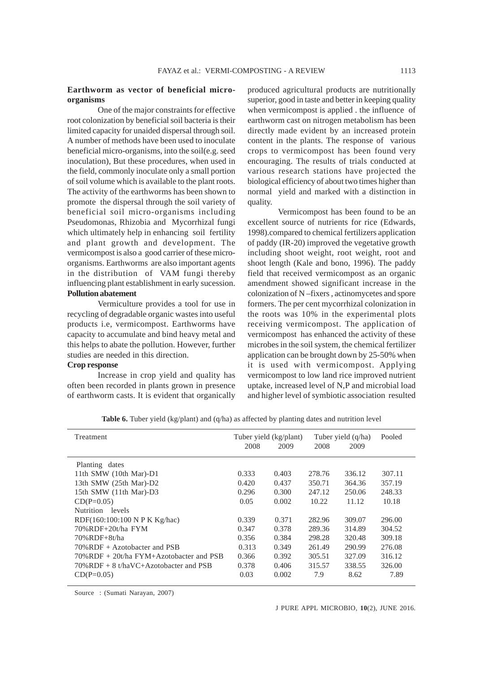## **Earthworm as vector of beneficial microorganisms**

One of the major constraints for effective root colonization by beneficial soil bacteria is their limited capacity for unaided dispersal through soil. A number of methods have been used to inoculate beneficial micro-organisms, into the soil(e.g. seed inoculation), But these procedures, when used in the field, commonly inoculate only a small portion of soil volume which is available to the plant roots. The activity of the earthworms has been shown to promote the dispersal through the soil variety of beneficial soil micro-organisms including Pseudomonas, Rhizobia and Mycorrhizal fungi which ultimately help in enhancing soil fertility and plant growth and development. The vermicompost is also a good carrier of these microorganisms. Earthworms are also important agents in the distribution of VAM fungi thereby influencing plant establishment in early sucession. **Pollution abatement**

Vermiculture provides a tool for use in recycling of degradable organic wastes into useful products i.e, vermicompost. Earthworms have capacity to accumulate and bind heavy metal and this helps to abate the pollution. However, further studies are needed in this direction.

# **Crop response**

Increase in crop yield and quality has often been recorded in plants grown in presence of earthworm casts. It is evident that organically

produced agricultural products are nutritionally superior, good in taste and better in keeping quality when vermicompost is applied . the influence of earthworm cast on nitrogen metabolism has been directly made evident by an increased protein content in the plants. The response of various crops to vermicompost has been found very encouraging. The results of trials conducted at various research stations have projected the biological efficiency of about two times higher than normal yield and marked with a distinction in quality.

Vermicompost has been found to be an excellent source of nutrients for rice (Edwards, 1998).compared to chemical fertilizers application of paddy (IR-20) improved the vegetative growth including shoot weight, root weight, root and shoot length (Kale and bono, 1996). The paddy field that received vermicompost as an organic amendment showed significant increase in the colonization of N –fixers , actinomycetes and spore formers. The per cent mycorrhizal colonization in the roots was 10% in the experimental plots receiving vermicompost. The application of vermicompost has enhanced the activity of these microbes in the soil system, the chemical fertilizer application can be brought down by 25-50% when it is used with vermicompost. Applying vermicompost to low land rice improved nutrient uptake, increased level of N,P and microbial load and higher level of symbiotic association resulted

| Treatment                                   |       | Tuber yield (kg/plant) |        | Tuber yield (q/ha) | Pooled |  |
|---------------------------------------------|-------|------------------------|--------|--------------------|--------|--|
|                                             | 2008  | 2009                   | 2008   | 2009               |        |  |
| Planting dates                              |       |                        |        |                    |        |  |
| 11th SMW (10th Mar)-D1                      | 0.333 | 0.403                  | 278.76 | 336.12             | 307.11 |  |
| 13th SMW (25th Mar)-D2                      | 0.420 | 0.437                  | 350.71 | 364.36             | 357.19 |  |
| 15th SMW (11th Mar)-D3                      | 0.296 | 0.300                  | 247.12 | 250.06             | 248.33 |  |
| $CD(P=0.05)$                                | 0.05  | 0.002                  | 10.22  | 11.12              | 10.18  |  |
| Nutrition levels                            |       |                        |        |                    |        |  |
| RDF(160:100:100 N P K Kg/hac)               | 0.339 | 0.371                  | 282.96 | 309.07             | 296.00 |  |
| 70%RDF+20t/ha FYM                           | 0.347 | 0.378                  | 289.36 | 314.89             | 304.52 |  |
| 70% RDF+8t/ha                               | 0.356 | 0.384                  | 298.28 | 320.48             | 309.18 |  |
| $70\%$ RDF + Azotobacter and PSB            | 0.313 | 0.349                  | 261.49 | 290.99             | 276.08 |  |
| $70\%$ RDF + 20t/ha FYM+Azotobacter and PSB | 0.366 | 0.392                  | 305.51 | 327.09             | 316.12 |  |
| $70\%$ RDF + 8 t/haVC+Azotobacter and PSB   | 0.378 | 0.406                  | 315.57 | 338.55             | 326.00 |  |
| $CD(P=0.05)$                                | 0.03  | 0.002                  | 7.9    | 8.62               | 7.89   |  |
|                                             |       |                        |        |                    |        |  |

**Table 6.** Tuber yield (kg/plant) and (q/ha) as affected by planting dates and nutrition level

Source : (Sumati Narayan, 2007)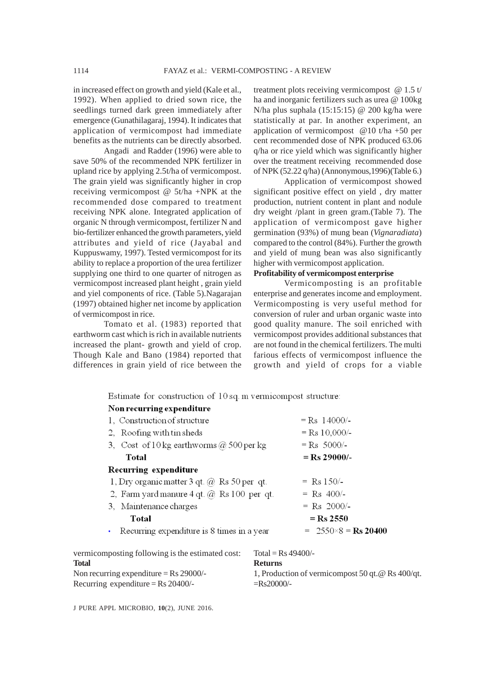in increased effect on growth and yield (Kale et al., 1992). When applied to dried sown rice, the seedlings turned dark green immediately after emergence (Gunathilagaraj, 1994). It indicates that application of vermicompost had immediate benefits as the nutrients can be directly absorbed.

Angadi and Radder (1996) were able to save 50% of the recommended NPK fertilizer in upland rice by applying 2.5t/ha of vermicompost. The grain yield was significantly higher in crop receiving vermicompost @ 5t/ha +NPK at the recommended dose compared to treatment receiving NPK alone. Integrated application of organic N through vermicompost, fertilizer N and bio-fertilizer enhanced the growth parameters, yield attributes and yield of rice (Jayabal and Kuppuswamy, 1997). Tested vermicompost for its ability to replace a proportion of the urea fertilizer supplying one third to one quarter of nitrogen as vermicompost increased plant height , grain yield and yiel components of rice. (Table 5).Nagarajan (1997) obtained higher net income by application of vermicompost in rice.

Tomato et al. (1983) reported that earthworm cast which is rich in available nutrients increased the plant- growth and yield of crop. Though Kale and Bano (1984) reported that differences in grain yield of rice between the

treatment plots receiving vermicompost @ 1.5 t/ ha and inorganic fertilizers such as urea @ 100kg N/ha plus suphala (15:15:15) @ 200 kg/ha were statistically at par. In another experiment, an application of vermicompost @10 t/ha +50 per cent recommended dose of NPK produced 63.06 q/ha or rice yield which was significantly higher over the treatment receiving recommended dose of NPK (52.22 q/ha) (Annonymous,1996)(Table 6.)

Application of vermicompost showed significant positive effect on yield , dry matter production, nutrient content in plant and nodule dry weight /plant in green gram.(Table 7). The application of vermicompost gave higher germination (93%) of mung bean (*Vignaradiata*) compared to the control (84%). Further the growth and yield of mung bean was also significantly higher with vermicompost application.

## **Profitability of vermicompost enterprise**

Vermicomposting is an profitable enterprise and generates income and employment. Vermicomposting is very useful method for conversion of ruler and urban organic waste into good quality manure. The soil enriched with vermicompost provides additional substances that are not found in the chemical fertilizers. The multi farious effects of vermicompost influence the growth and yield of crops for a viable

Estimate for construction of 10  $\mathcal{L}^{\text{max}}$  $\mathbf{r}$  and  $\mathbf{r}$  and  $\mathbf{r}$  and  $\mathbf{r}$ 

| Estimate for construction of $10$ sq. in vermicompost structure: |                 |
|------------------------------------------------------------------|-----------------|
| Non recurring expenditure                                        |                 |
| 1. Construction of structure                                     | $=$ Rs 14000/-  |
| 2. Roofing with tin sheds                                        | $=$ Rs 10,000/- |
| 3. Cost of $10 \text{ kg}$ earthworms $\omega$ 500 per kg        | $=$ Rs 5000/-   |
| Total                                                            | $=$ Rs 29000/-  |
| Recurring expenditure                                            |                 |
| 1, Dry organic matter 3 qt. $@$ Rs 50 per qt.                    | $=$ Rs 150/-    |
| 2, Farm yard manure 4 qt. $@$ Rs 100 per qt.                     | $=$ Rs 400/-    |
| 3. Maintenance charges                                           | $=$ Rs 2000/-   |
| Total                                                            | $=$ Rs 2550     |

| Recurring expenditure is 8 times in a year<br>$= 2550 \times 8 = \text{Rs } 20400$ |
|------------------------------------------------------------------------------------|
|------------------------------------------------------------------------------------|

| vermicomposting following is the estimated cost:  | Total = $\text{Rs } 49400/-$                         |
|---------------------------------------------------|------------------------------------------------------|
| Total                                             | <b>Returns</b>                                       |
| Non recurring expenditure = $\text{Rs } 29000$ /- | 1, Production of vermicompost 50 gt. @ Rs $400$ /gt. |
| Recurring expenditure = $\text{Rs } 20400$ /-     | $=$ Rs20000/-                                        |

J PURE APPL MICROBIO*,* **10**(2), JUNE 2016.